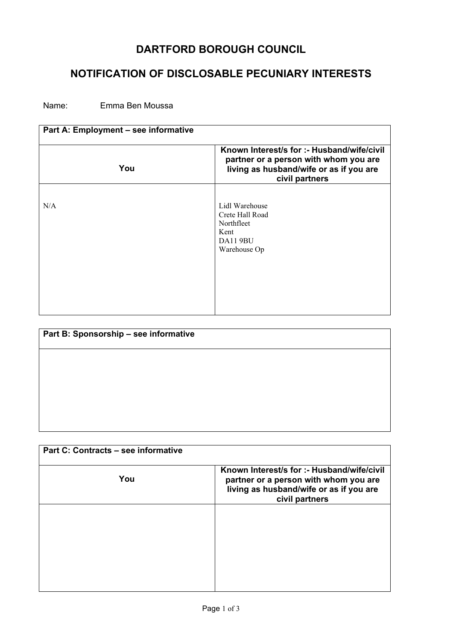## **DARTFORD BOROUGH COUNCIL**

## **NOTIFICATION OF DISCLOSABLE PECUNIARY INTERESTS**

Name: Emma Ben Moussa

| Part A: Employment - see informative |                                                                                                                                                  |
|--------------------------------------|--------------------------------------------------------------------------------------------------------------------------------------------------|
| You                                  | Known Interest/s for :- Husband/wife/civil<br>partner or a person with whom you are<br>living as husband/wife or as if you are<br>civil partners |
| N/A                                  | Lidl Warehouse<br>Crete Hall Road<br>Northfleet<br>Kent<br><b>DA11 9BU</b><br>Warehouse Op                                                       |

| Part B: Sponsorship - see informative |  |
|---------------------------------------|--|
|                                       |  |
|                                       |  |
|                                       |  |
|                                       |  |
|                                       |  |

| Part C: Contracts - see informative |                                                                                                                                                  |
|-------------------------------------|--------------------------------------------------------------------------------------------------------------------------------------------------|
| You                                 | Known Interest/s for :- Husband/wife/civil<br>partner or a person with whom you are<br>living as husband/wife or as if you are<br>civil partners |
|                                     |                                                                                                                                                  |
|                                     |                                                                                                                                                  |
|                                     |                                                                                                                                                  |
|                                     |                                                                                                                                                  |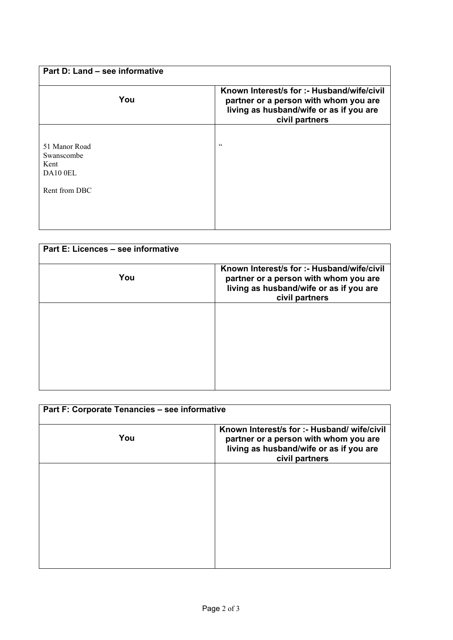| Part D: Land – see informative                                   |                                                                                                                                                  |
|------------------------------------------------------------------|--------------------------------------------------------------------------------------------------------------------------------------------------|
| You                                                              | Known Interest/s for :- Husband/wife/civil<br>partner or a person with whom you are<br>living as husband/wife or as if you are<br>civil partners |
| 51 Manor Road<br>Swanscombe<br>Kent<br>DA10 0EL<br>Rent from DBC | cc                                                                                                                                               |

| Part E: Licences - see informative |                                                                                                                                                  |
|------------------------------------|--------------------------------------------------------------------------------------------------------------------------------------------------|
| You                                | Known Interest/s for :- Husband/wife/civil<br>partner or a person with whom you are<br>living as husband/wife or as if you are<br>civil partners |
|                                    |                                                                                                                                                  |
|                                    |                                                                                                                                                  |
|                                    |                                                                                                                                                  |

| Part F: Corporate Tenancies - see informative |                                                                                                                                                   |
|-----------------------------------------------|---------------------------------------------------------------------------------------------------------------------------------------------------|
| You                                           | Known Interest/s for :- Husband/ wife/civil<br>partner or a person with whom you are<br>living as husband/wife or as if you are<br>civil partners |
|                                               |                                                                                                                                                   |
|                                               |                                                                                                                                                   |
|                                               |                                                                                                                                                   |